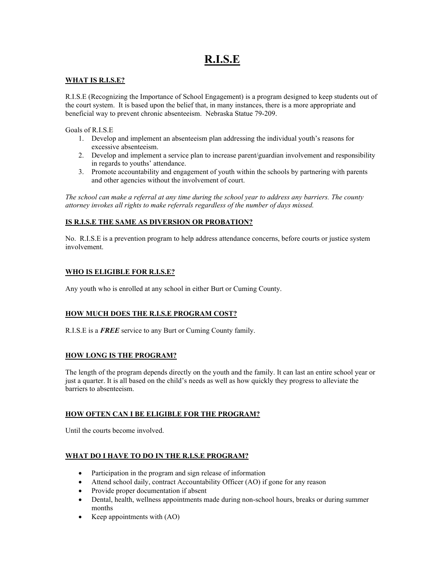# **R.I.S.E**

## **WHAT IS R.I.S.E?**

R.I.S.E (Recognizing the Importance of School Engagement) is a program designed to keep students out of the court system. It is based upon the belief that, in many instances, there is a more appropriate and beneficial way to prevent chronic absenteeism. Nebraska Statue 79-209.

Goals of R.I.S.E

- 1. Develop and implement an absenteeism plan addressing the individual youth's reasons for excessive absenteeism.
- 2. Develop and implement a service plan to increase parent/guardian involvement and responsibility in regards to youths' attendance.
- 3. Promote accountability and engagement of youth within the schools by partnering with parents and other agencies without the involvement of court.

*The school can make a referral at any time during the school year to address any barriers. The county attorney invokes all rights to make referrals regardless of the number of days missed.* 

# **IS R.I.S.E THE SAME AS DIVERSION OR PROBATION?**

No. R.I.S.E is a prevention program to help address attendance concerns, before courts or justice system involvement.

## **WHO IS ELIGIBLE FOR R.I.S.E?**

Any youth who is enrolled at any school in either Burt or Cuming County.

# **HOW MUCH DOES THE R.I.S.E PROGRAM COST?**

R.I.S.E is a *FREE* service to any Burt or Cuming County family.

## **HOW LONG IS THE PROGRAM?**

The length of the program depends directly on the youth and the family. It can last an entire school year or just a quarter. It is all based on the child's needs as well as how quickly they progress to alleviate the barriers to absenteeism.

## **HOW OFTEN CAN I BE ELIGIBLE FOR THE PROGRAM?**

Until the courts become involved.

## **WHAT DO I HAVE TO DO IN THE R.I.S.E PROGRAM?**

- Participation in the program and sign release of information
- Attend school daily, contract Accountability Officer (AO) if gone for any reason
- Provide proper documentation if absent
- Dental, health, wellness appointments made during non-school hours, breaks or during summer months
- Keep appointments with (AO)